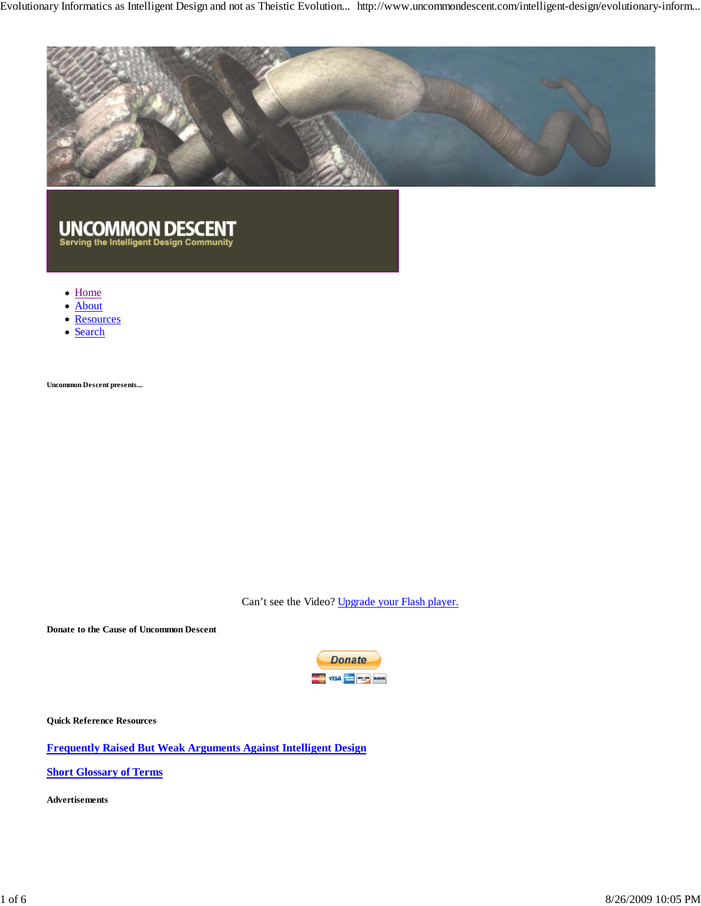

# UNCOMMON DESCENT<br>Serving the Intelligent Design Community

- Home
- About  $\bullet$
- Resources
- Search

**Uncommon Descent presents...**

Can't see the Video? Upgrade your Flash player.

**Donate to the Cause of Uncommon Descent**



**Quick Reference Resources**

**Frequently Raised But Weak Arguments Against Intelligent Design**

**Short Glossary of Terms**

**Advertisements**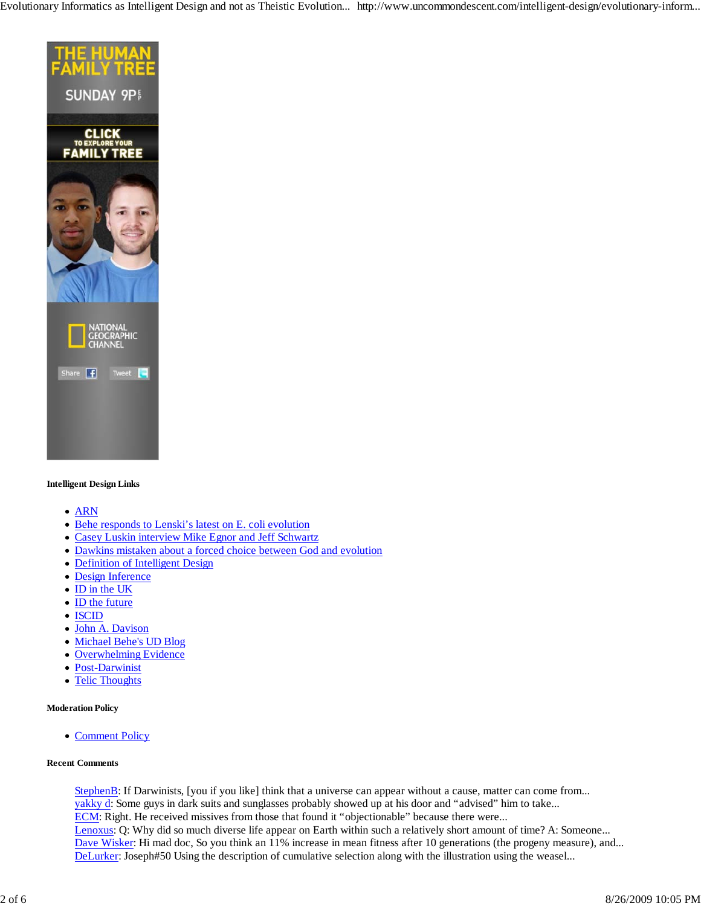

#### **Intelligent Design Links**

- ARN
- Behe responds to Lenski's latest on E. coli evolution
- Casey Luskin interview Mike Egnor and Jeff Schwartz
- Dawkins mistaken about a forced choice between God and evolution
- Definition of Intelligent Design
- Design Inference
- ID in the UK
- ID the future
- ISCID
- John A. Davison
- Michael Behe's UD Blog
- Overwhelming Evidence
- Post-Darwinist
- Telic Thoughts  $\bullet$

#### **Moderation Policy**

• Comment Policy

#### **Recent Comments**

StephenB: If Darwinists, [you if you like] think that a universe can appear without a cause, matter can come from... yakky d: Some guys in dark suits and sunglasses probably showed up at his door and "advised" him to take... ECM: Right. He received missives from those that found it "objectionable" because there were... Lenoxus: Q: Why did so much diverse life appear on Earth within such a relatively short amount of time? A: Someone... Dave Wisker: Hi mad doc, So you think an 11% increase in mean fitness after 10 generations (the progeny measure), and... DeLurker: Joseph#50 Using the description of cumulative selection along with the illustration using the weasel...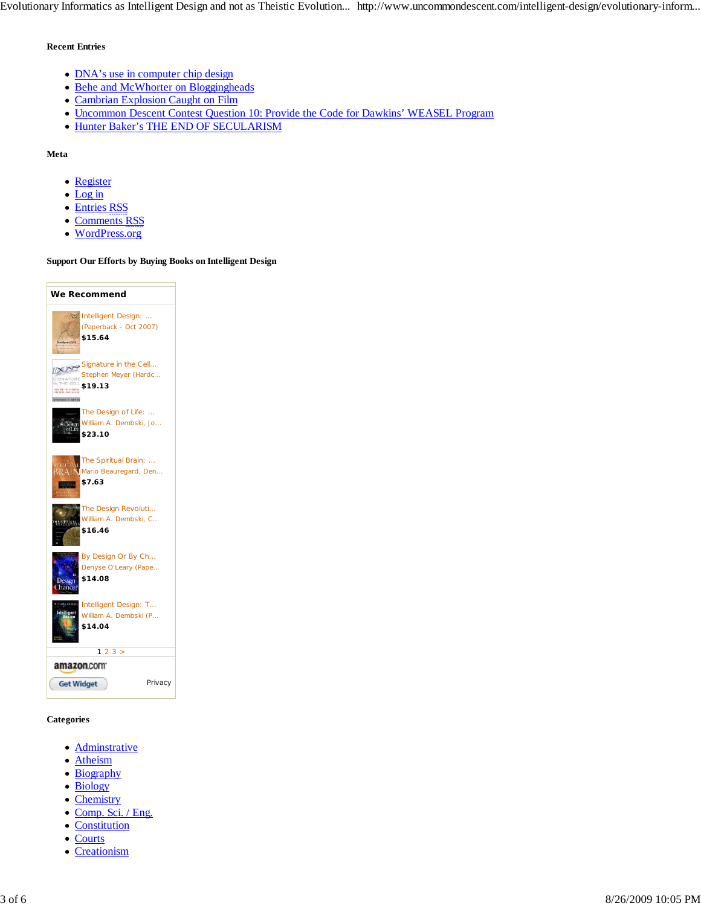#### **Recent Entries**

- DNA's use in computer chip design
- Behe and McWhorter on Bloggingheads
- Cambrian Explosion Caught on Film
- Uncommon Descent Contest Question 10: Provide the Code for Dawkins' WEASEL Program
- Hunter Baker's THE END OF SECULARISM

#### **Meta**

- Register
- Log in
- Entries RSS
- Comments RSS
- WordPress.org

#### **Support Our Efforts by Buying Books on Intelligent Design**

| We Recommend                                                                                                                                     |
|--------------------------------------------------------------------------------------------------------------------------------------------------|
| Intelligent Design:<br>(Paperback - Oct 2007)<br>\$15.64                                                                                         |
| Signature in the Cell<br>Stephen Meyer (Hardc<br><b>SIDNATURE</b><br>THE CIEL<br>\$19.13<br>, 1875 - 1977 - 1977<br>1987 - 1988 - 19<br>in Merek |
| The Design of Life:<br>William A. Dembski, Jo<br>ign<br>\$23.10                                                                                  |
| The Spiritual Brain:<br>Mario Beauregard, Den<br>\$7.63                                                                                          |
| The Design Revoluti<br>William A. Dembski, C<br>1.98198<br>\$16.46                                                                               |
| By Design Or By Ch<br>Denyse O'Leary (Pape<br>\$14.08<br>Dessen<br>hance                                                                         |
| Intelligent Design: T<br>William A. Dembski (P<br>\$14.04                                                                                        |
| 23 ><br>1<br>amazon.com                                                                                                                          |
|                                                                                                                                                  |
| <b>Get Widget</b><br>Privacy                                                                                                                     |

#### **Categories**

- Adminstrative
- Atheism
- Biography
- Biology
- Chemistry
- Comp. Sci. / Eng.
- Constitution
- Courts
- Creationism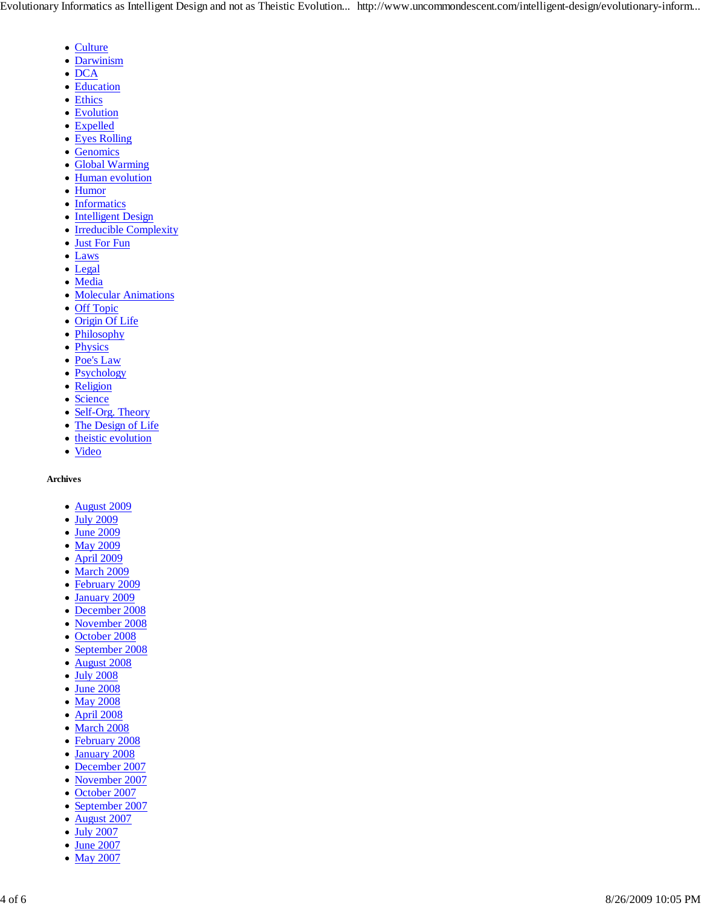- Culture
- Darwinism
- $\bullet$  DCA
- Education
- Ethics
- Evolution
- Expelled
- Eyes Rolling
- Genomics
- Global Warming
- Human evolution
- Humor
- Informatics
- Intelligent Design
- Irreducible Complexity
- Just For Fun
- Laws
- Legal
- Media
- Molecular Animations
- Off Topic
- Origin Of Life
- Philosophy
- Physics
- Poe's Law
- Psychology
- Religion
- Science
- Self-Org. Theory
- The Design of Life
- theistic evolution
- Video

#### **Archives**

- August 2009
- July 2009
- June 2009
- May 2009
- April 2009
- March 2009
- February 2009
- January 2009
- December 2008
- November 2008
- October 2008
- September 2008
- August 2008
- July 2008
- June 2008
- May 2008
- April 2008
- March 2008
- February 2008
- January 2008  $\bullet$
- December 2007
- November 2007
- October 2007
- September 2007 August 2007
- July 2007
- June 2007
- May 2007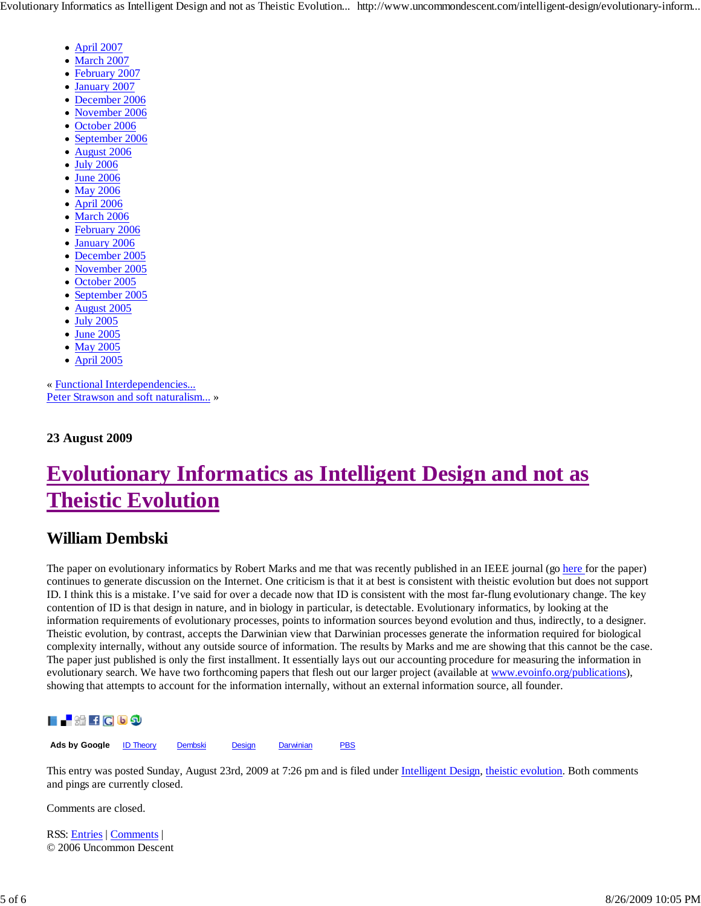- April 2007
- March 2007
- February 2007
- January 2007  $\bullet$
- December 2006
- November 2006
- October 2006  $\bullet$
- September 2006  $\bullet$
- August 2006
- July 2006
- June 2006  $\bullet$
- May 2006
- April 2006  $\bullet$
- March 2006
- February 2006
- January 2006
- December 2005  $\bullet$
- November 2005
- October 2005  $\bullet$
- September 2005  $\bullet$
- August 2005  $\bullet$
- July 2005  $\bullet$
- June 2005  $\bullet$
- May 2005
- April 2005

« Functional Interdependencies... Peter Strawson and soft naturalism... »

**23 August 2009**

## **Evolutionary Informatics as Intelligent Design and not as Theistic Evolution**

### **William Dembski**

The paper on evolutionary informatics by Robert Marks and me that was recently published in an IEEE journal (go here for the paper) continues to generate discussion on the Internet. One criticism is that it at best is consistent with theistic evolution but does not support ID. I think this is a mistake. I've said for over a decade now that ID is consistent with the most far-flung evolutionary change. The key contention of ID is that design in nature, and in biology in particular, is detectable. Evolutionary informatics, by looking at the information requirements of evolutionary processes, points to information sources beyond evolution and thus, indirectly, to a designer. Theistic evolution, by contrast, accepts the Darwinian view that Darwinian processes generate the information required for biological complexity internally, without any outside source of information. The results by Marks and me are showing that this cannot be the case. The paper just published is only the first installment. It essentially lays out our accounting procedure for measuring the information in evolutionary search. We have two forthcoming papers that flesh out our larger project (available at www.evoinfo.org/publications), showing that attempts to account for the information internally, without an external information source, all founder.



**Ads by Google** ID Theory Dembski Design Darwinian PBS

This entry was posted Sunday, August 23rd, 2009 at 7:26 pm and is filed under Intelligent Design, theistic evolution. Both comments and pings are currently closed.

Comments are closed.

RSS: Entries | Comments | © 2006 Uncommon Descent